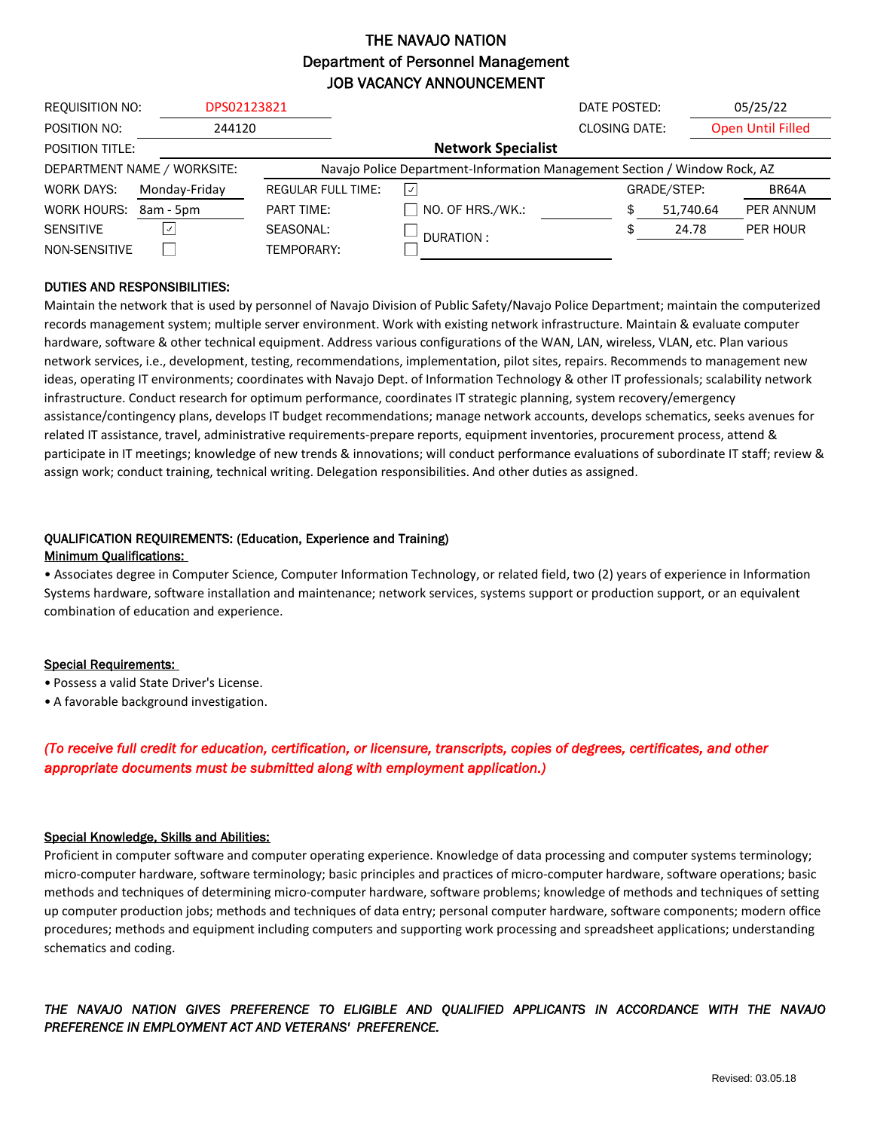## THE NAVAJO NATION Department of Personnel Management JOB VACANCY ANNOUNCEMENT

| <b>REQUISITION NO:</b>      | DPS02123821   |                                                                           |                           | DATE POSTED:         |             | 05/25/22                 |  |
|-----------------------------|---------------|---------------------------------------------------------------------------|---------------------------|----------------------|-------------|--------------------------|--|
| POSITION NO:                | 244120        |                                                                           |                           | <b>CLOSING DATE:</b> |             | <b>Open Until Filled</b> |  |
| <b>POSITION TITLE:</b>      |               |                                                                           | <b>Network Specialist</b> |                      |             |                          |  |
| DEPARTMENT NAME / WORKSITE: |               | Navajo Police Department-Information Management Section / Window Rock, AZ |                           |                      |             |                          |  |
| WORK DAYS:                  | Monday-Friday | <b>REGULAR FULL TIME:</b>                                                 | $\vert \vee \vert$        |                      | GRADE/STEP: | BR64A                    |  |
| WORK HOURS:                 | 8am - 5pm     | <b>PART TIME:</b>                                                         | $\Box$ NO. OF HRS./WK.:   | \$                   | 51,740.64   | PER ANNUM                |  |
| <b>SENSITIVE</b>            | $ \vee $      | SEASONAL:                                                                 | DURATION:                 |                      | 24.78       | PER HOUR                 |  |
| NON-SENSITIVE               |               | TEMPORARY:                                                                |                           |                      |             |                          |  |

### DUTIES AND RESPONSIBILITIES:

Maintain the network that is used by personnel of Navajo Division of Public Safety/Navajo Police Department; maintain the computerized records management system; multiple server environment. Work with existing network infrastructure. Maintain & evaluate computer hardware, software & other technical equipment. Address various configurations of the WAN, LAN, wireless, VLAN, etc. Plan various network services, i.e., development, testing, recommendations, implementation, pilot sites, repairs. Recommends to management new ideas, operating IT environments; coordinates with Navajo Dept. of Information Technology & other IT professionals; scalability network infrastructure. Conduct research for optimum performance, coordinates IT strategic planning, system recovery/emergency assistance/contingency plans, develops IT budget recommendations; manage network accounts, develops schematics, seeks avenues for related IT assistance, travel, administrative requirements-prepare reports, equipment inventories, procurement process, attend & participate in IT meetings; knowledge of new trends & innovations; will conduct performance evaluations of subordinate IT staff; review & assign work; conduct training, technical writing. Delegation responsibilities. And other duties as assigned.

#### QUALIFICATION REQUIREMENTS: (Education, Experience and Training) Minimum Qualifications:

• Associates degree in Computer Science, Computer Information Technology, or related field, two (2) years of experience in Information Systems hardware, software installation and maintenance; network services, systems support or production support, or an equivalent combination of education and experience.

#### Special Requirements:

- Possess a valid State Driver's License.
- A favorable background investigation.

## *(To receive full credit for education, certification, or licensure, transcripts, copies of degrees, certificates, and other appropriate documents must be submitted along with employment application.)*

#### Special Knowledge, Skills and Abilities:

Proficient in computer software and computer operating experience. Knowledge of data processing and computer systems terminology; micro-computer hardware, software terminology; basic principles and practices of micro-computer hardware, software operations; basic methods and techniques of determining micro-computer hardware, software problems; knowledge of methods and techniques of setting up computer production jobs; methods and techniques of data entry; personal computer hardware, software components; modern office procedures; methods and equipment including computers and supporting work processing and spreadsheet applications; understanding schematics and coding.

## *THE NAVAJO NATION GIVES PREFERENCE TO ELIGIBLE AND QUALIFIED APPLICANTS IN ACCORDANCE WITH THE NAVAJO PREFERENCE IN EMPLOYMENT ACT AND VETERANS' PREFERENCE.*